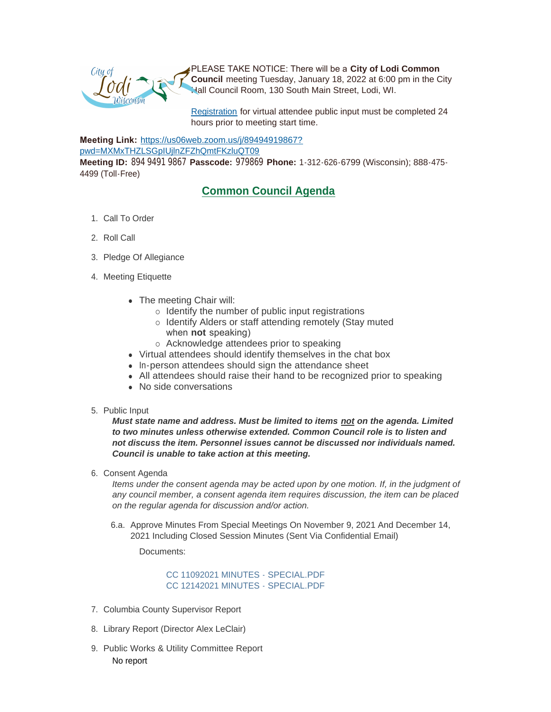PLEASE TAKE NOTICE: There will be a **City of Lodi Common Council** meeting Tuesday, January 18, 2022 at 6:00 pm in the City Hall Council Room, 130 South Main Street, Lodi, WI.

[Registration](https://www.cityoflodi.us/CivicAlerts.aspx?AID=467) for virtual attendee public input must be completed 24 hours prior to meeting start time.

**Meeting Link:** [https://us06web.zoom.us/j/89494919867?](https://us06web.zoom.us/j/89494919867?pwd=MXMxTHZLSGpIUjlnZFZhQmtFKzluQT09)

pwd=MXMxTHZLSGpIUjlnZFZhQmtFKzluQT09

**Meeting ID:** 894 9491 9867 **Passcode:** 979869 **Phone:** 1-312-626-6799 (Wisconsin); 888-475- 4499 (Toll-Free)

## **Common Council Agenda**

- 1. Call To Order
- 2. Roll Call
- 3. Pledge Of Allegiance
- 4. Meeting Etiquette
	- The meeting Chair will:
		- $\circ$  Identify the number of public input registrations
		- o Identify Alders or staff attending remotely (Stay muted when **not** speaking)
			- o Acknowledge attendees prior to speaking
	- Virtual attendees should identify themselves in the chat box
	- In-person attendees should sign the attendance sheet
	- All attendees should raise their hand to be recognized prior to speaking
	- No side conversations
- 5. Public Input

*Must state name and address. Must be limited to items not on the agenda. Limited to two minutes unless otherwise extended. Common Council role is to listen and not discuss the item. Personnel issues cannot be discussed nor individuals named. Council is unable to take action at this meeting.*

6. Consent Agenda

*Items under the consent agenda may be acted upon by one motion. If, in the judgment of any council member, a consent agenda item requires discussion, the item can be placed on the regular agenda for discussion and/or action.*

6.a. Approve Minutes From Special Meetings On November 9, 2021 And December 14, 2021 Including Closed Session Minutes (Sent Via Confidential Email)

Documents:

[CC 11092021 MINUTES - SPECIAL.PDF](http://cityoflodi.us/AgendaCenter/ViewFile/Item/14622?fileID=11608) [CC 12142021 MINUTES - SPECIAL.PDF](http://cityoflodi.us/AgendaCenter/ViewFile/Item/14622?fileID=11650)

- 7. Columbia County Supervisor Report
- 8. Library Report (Director Alex LeClair)
- 9. Public Works & Utility Committee Report No report